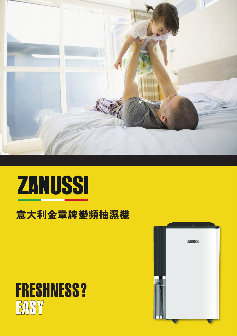

## **ZANUSSI**

## **意大利金章牌變頻抽濕機**

## FRESHNESS? **EASY**